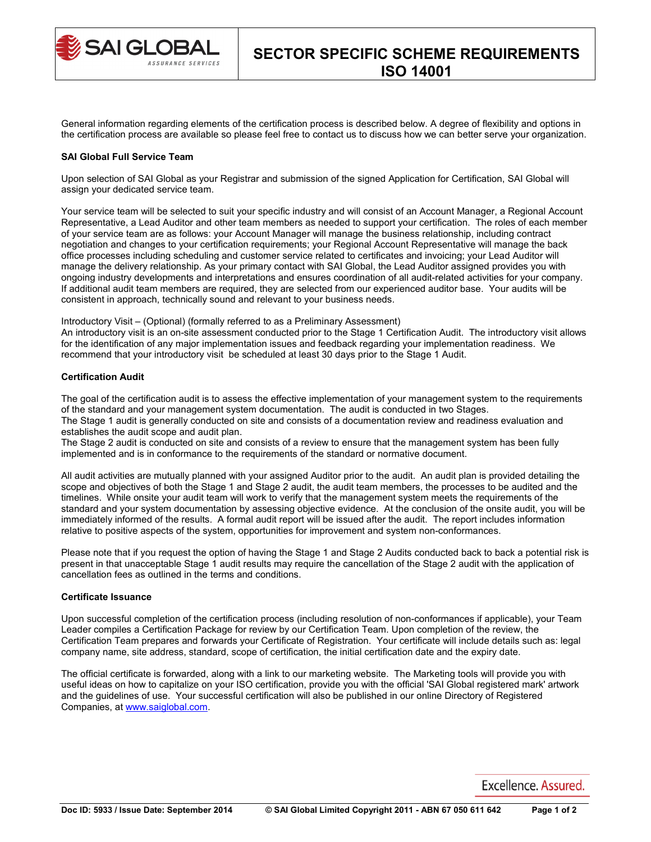

General information regarding elements of the certification process is described below. A degree of flexibility and options in the certification process are available so please feel free to contact us to discuss how we can better serve your organization.

### **SAI Global Full Service Team**

Upon selection of SAI Global as your Registrar and submission of the signed Application for Certification, SAI Global will assign your dedicated service team.

Your service team will be selected to suit your specific industry and will consist of an Account Manager, a Regional Account Representative, a Lead Auditor and other team members as needed to support your certification. The roles of each member of your service team are as follows: your Account Manager will manage the business relationship, including contract negotiation and changes to your certification requirements; your Regional Account Representative will manage the back office processes including scheduling and customer service related to certificates and invoicing; your Lead Auditor will manage the delivery relationship. As your primary contact with SAI Global, the Lead Auditor assigned provides you with ongoing industry developments and interpretations and ensures coordination of all audit-related activities for your company. If additional audit team members are required, they are selected from our experienced auditor base. Your audits will be consistent in approach, technically sound and relevant to your business needs.

Introductory Visit – (Optional) (formally referred to as a Preliminary Assessment)

An introductory visit is an on-site assessment conducted prior to the Stage 1 Certification Audit. The introductory visit allows for the identification of any major implementation issues and feedback regarding your implementation readiness. We recommend that your introductory visit be scheduled at least 30 days prior to the Stage 1 Audit.

## **Certification Audit**

The goal of the certification audit is to assess the effective implementation of your management system to the requirements of the standard and your management system documentation. The audit is conducted in two Stages. The Stage 1 audit is generally conducted on site and consists of a documentation review and readiness evaluation and establishes the audit scope and audit plan.

The Stage 2 audit is conducted on site and consists of a review to ensure that the management system has been fully implemented and is in conformance to the requirements of the standard or normative document.

All audit activities are mutually planned with your assigned Auditor prior to the audit. An audit plan is provided detailing the scope and objectives of both the Stage 1 and Stage 2 audit, the audit team members, the processes to be audited and the timelines. While onsite your audit team will work to verify that the management system meets the requirements of the standard and your system documentation by assessing objective evidence. At the conclusion of the onsite audit, you will be immediately informed of the results. A formal audit report will be issued after the audit. The report includes information relative to positive aspects of the system, opportunities for improvement and system non-conformances.

Please note that if you request the option of having the Stage 1 and Stage 2 Audits conducted back to back a potential risk is present in that unacceptable Stage 1 audit results may require the cancellation of the Stage 2 audit with the application of cancellation fees as outlined in the terms and conditions.

# **Certificate Issuance**

Upon successful completion of the certification process (including resolution of non-conformances if applicable), your Team Leader compiles a Certification Package for review by our Certification Team. Upon completion of the review, the Certification Team prepares and forwards your Certificate of Registration. Your certificate will include details such as: legal company name, site address, standard, scope of certification, the initial certification date and the expiry date.

The official certificate is forwarded, along with a link to our marketing website. The Marketing tools will provide you with useful ideas on how to capitalize on your ISO certification, provide you with the official 'SAI Global registered mark' artwork and the guidelines of use. Your successful certification will also be published in our online Directory of Registered Companies, at [www.saiglobal.com.](http://www.saiglobal.com/)

Excellence, Assured.